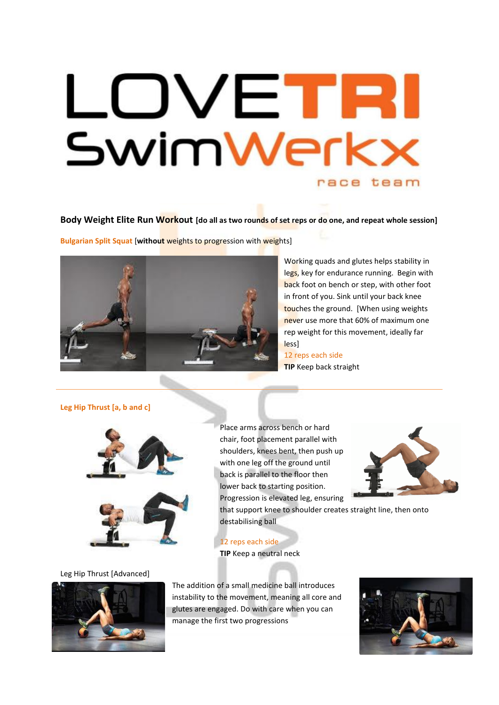# LOVETR SwimWerkx race team

**Body Weight Elite Run Workout [do all as two rounds of set reps or do one, and repeat whole session]**

**Bulgarian Split Squat** [**without** weights to progression with weights]



Working quads and glutes helps stability in legs, key for endurance running. Begin with back foot on bench or step, with other foot in front of you. Sink until your back knee touches the ground. [When using weights never use more that 60% of maximum one rep weight for this movement, ideally far less]

12 reps each side **TIP** Keep back straight

# **Leg Hip Thrust [a, b and c]**





Leg Hip Thrust [Advanced]



Place arms across bench or hard chair, foot placement parallel with shoulders, knees bent, then push up with one leg off the ground until back is parallel to the floor then lower back to starting position. Progression is elevated leg, ensuring



that support knee to shoulder creates straight line, then onto destabilising ball

12 reps each side

**TIP** Keep a neutral neck

The addition of a small medicine ball introduces instability to the movement, meaning all core and glutes are engaged. Do with care when you can manage the first two progressions

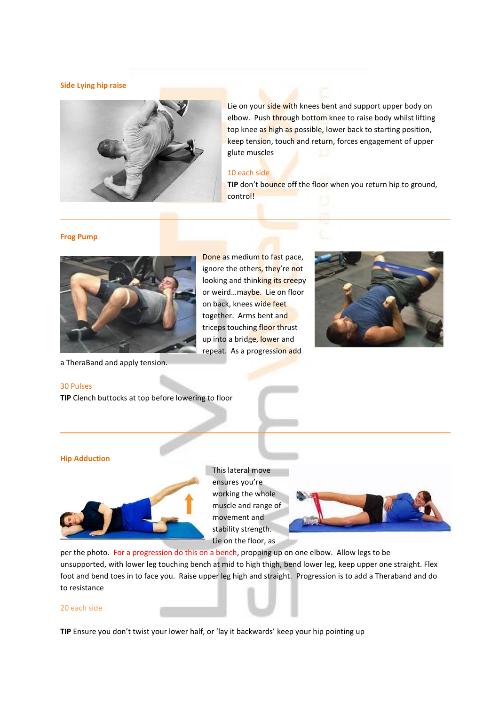### **Side Lying hip raise**



Lie on your side with knees bent and support upper body on elbow. Push through bottom knee to raise body whilst lifting top knee as high as possible, lower back to starting position, keep tension, touch and return, forces engagement of upper glute muscles

### 10 each side

**TIP** don't bounce off the floor when you return hip to ground, control!

### **Frog Pump**



a TheraBand and apply tension.

## 30 Pulses

**TIP** Clench buttocks at top before lowering to floor





# **Hip Adduction**



This lateral move ensures you're working the whole muscle and range of movement and stability strength. Lie on the floor, as



per the photo. For a progression do this on a bench, propping up on one elbow. Allow legs to be unsupported, with lower leg touching bench at mid to high thigh, bend lower leg, keep upper one straight. Flex foot and bend toes in to face you. Raise upper leg high and straight. Progression is to add a Theraband and do to resistance

### 20 each side

**TIP** Ensure you don't twist your lower half, or 'lay it backwards' keep your hip pointing up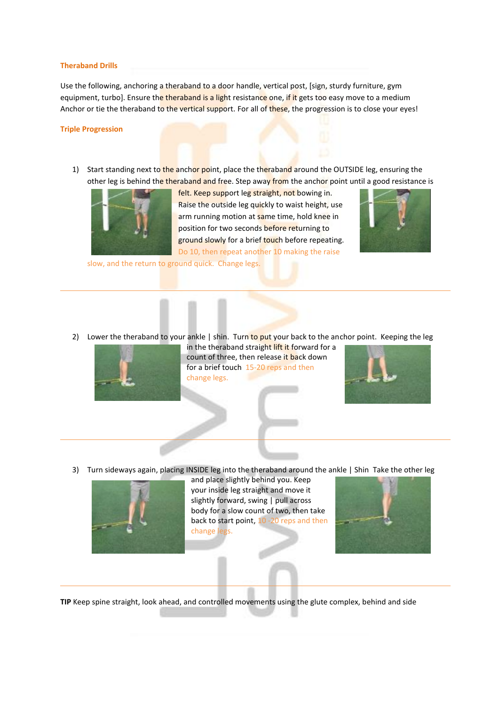#### **Theraband Drills**

Use the following, anchoring a theraband to a door handle, vertical post, [sign, sturdy furniture, gym equipment, turbo]. Ensure the theraband is a light resistance one, if it gets too easy move to a medium Anchor or tie the theraband to the vertical support. For all of these, the progression is to close your eyes!

### **Triple Progression**

1) Start standing next to the anchor point, place the theraband around the OUTSIDE leg, ensuring the other leg is behind the theraband and free. Step away from the anchor point until a good resistance is



felt. Keep support leg straight, not bowing in. Raise the outside leg quickly to waist height, use arm running motion at same time, hold knee in position for two seconds before returning to ground slowly for a brief touch before repeating. Do 10, then repeat another 10 making the raise



slow, and the return to ground quick. Change legs.

2) Lower the theraband to your ankle | shin. Turn to put your back to the anchor point. Keeping the leg



in the theraband straight lift it forward for a count of three, then release it back down for a brief touch 15-20 reps and then change legs.



3) Turn sideways again, placing INSIDE leg into the theraband around the ankle | Shin Take the other leg



and place slightly behind you. Keep your inside leg straight and move it slightly forward, swing | pull across body for a slow count of two, then take back to start point, 10 -20 reps and then change legs.



**TIP** Keep spine straight, look ahead, and controlled movements using the glute complex, behind and side